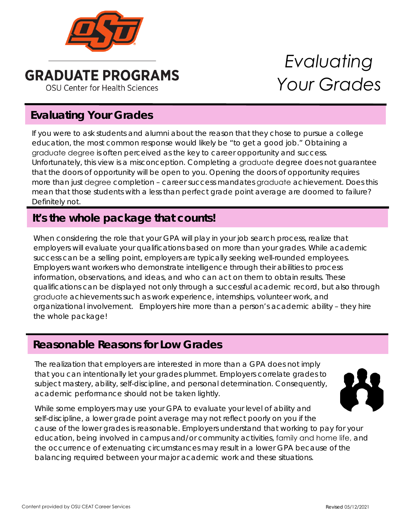

**GRADUATE PROGRAMS OSU Center for Health Sciences** 

# *Evaluating Your Grades*

## **Evaluating Your Grades**

If you were to ask students and alumni about the reason that they chose to pursue a college education, the most common response would likely be "to get a good job." Obtaining a graduate degree is often perceived as the key to career opportunity and success. Unfortunately, this view is a misconception. Completing a graduate degree does not guarantee that the doors of opportunity will be open to you. Opening the doors of opportunity requires more than just degree completion – career success mandates graduate achievement. Does this mean that those students with a less than perfect grade point average are doomed to failure? Definitely not.

#### **It's the whole package that counts!**

When considering the role that your GPA will play in your job search process, realize that employers will evaluate your qualifications based on more than your grades. While academic success can be a selling point, employers are typically seeking well-rounded employees. Employers want workers who demonstrate intelligence through their abilities to process information, observations, and ideas, and who can act on them to obtain results. These qualifications can be displayed not only through a successful academic record, but also through graduate achievements such as work experience, internships, volunteer work, and organizational involvement. Employers hire more than a person's academic ability – they hire the whole package!

#### **Reasonable Reasons for Low Grades**

The realization that employers are interested in more than a GPA does not imply that you can intentionally let your grades plummet. Employers correlate grades to subject mastery, ability, self-discipline, and personal determination. Consequently, academic performance should not be taken lightly.



While some employers may use your GPA to evaluate your level of ability and self-discipline, a lower grade point average may not reflect poorly on you if the cause of the lower grades is reasonable. Employers understand that working to pay for your education, being involved in campus and/or community activities, family and home life, and the occurrence of extenuating circumstances may result in a lower GPA because of the balancing required between your major academic work and these situations.